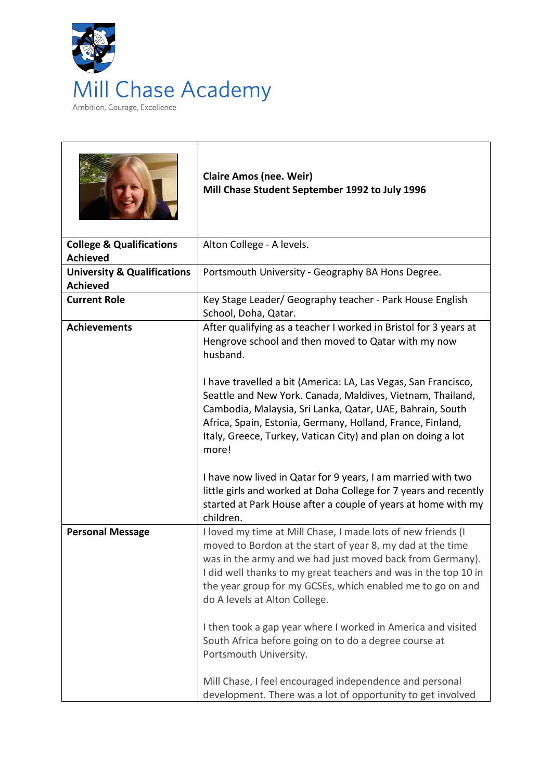

|                                                           | <b>Claire Amos (nee. Weir)</b><br>Mill Chase Student September 1992 to July 1996                                                                                                                                                                                                                                                                          |
|-----------------------------------------------------------|-----------------------------------------------------------------------------------------------------------------------------------------------------------------------------------------------------------------------------------------------------------------------------------------------------------------------------------------------------------|
| <b>College &amp; Qualifications</b><br><b>Achieved</b>    | Alton College - A levels.                                                                                                                                                                                                                                                                                                                                 |
| <b>University &amp; Qualifications</b><br><b>Achieved</b> | Portsmouth University - Geography BA Hons Degree.                                                                                                                                                                                                                                                                                                         |
| <b>Current Role</b>                                       | Key Stage Leader/ Geography teacher - Park House English<br>School, Doha, Qatar.                                                                                                                                                                                                                                                                          |
| <b>Achievements</b>                                       | After qualifying as a teacher I worked in Bristol for 3 years at<br>Hengrove school and then moved to Qatar with my now<br>husband.                                                                                                                                                                                                                       |
|                                                           | I have travelled a bit (America: LA, Las Vegas, San Francisco,<br>Seattle and New York. Canada, Maldives, Vietnam, Thailand,<br>Cambodia, Malaysia, Sri Lanka, Qatar, UAE, Bahrain, South<br>Africa, Spain, Estonia, Germany, Holland, France, Finland,<br>Italy, Greece, Turkey, Vatican City) and plan on doing a lot<br>more!                          |
|                                                           | I have now lived in Qatar for 9 years, I am married with two<br>little girls and worked at Doha College for 7 years and recently<br>started at Park House after a couple of years at home with my<br>children.                                                                                                                                            |
| <b>Personal Message</b>                                   | I loved my time at Mill Chase, I made lots of new friends (I<br>moved to Bordon at the start of year 8, my dad at the time<br>was in the army and we had just moved back from Germany).<br>I did well thanks to my great teachers and was in the top 10 in<br>the year group for my GCSEs, which enabled me to go on and<br>do A levels at Alton College. |
|                                                           | I then took a gap year where I worked in America and visited<br>South Africa before going on to do a degree course at<br>Portsmouth University.                                                                                                                                                                                                           |
|                                                           | Mill Chase, I feel encouraged independence and personal<br>development. There was a lot of opportunity to get involved                                                                                                                                                                                                                                    |